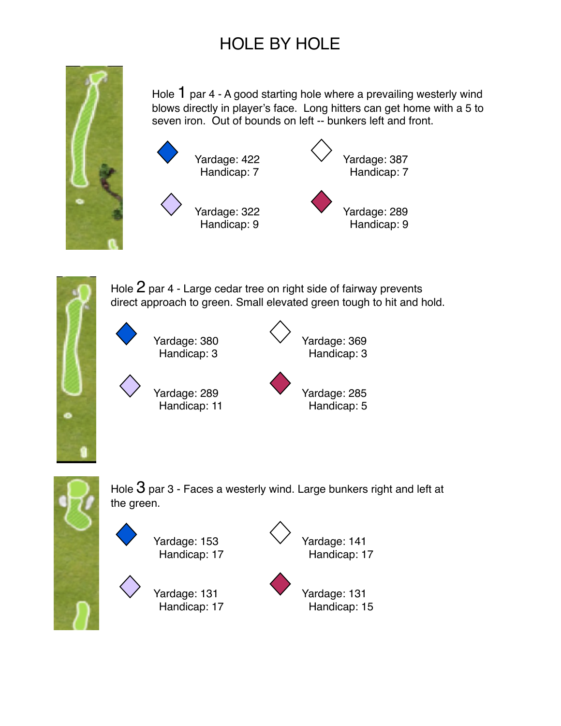

Hole 1 par 4 - A good starting hole where a prevailing westerly wind blows directly in player's face. Long hitters can get home with a 5 to seven iron. Out of bounds on left -- bunkers left and front.





Hole  $2$  par 4 - Large cedar tree on right side of fairway prevents direct approach to green. Small elevated green tough to hit and hold.





Hole  $3$  par 3 - Faces a westerly wind. Large bunkers right and left at the green.



Yardage: 131 Yardage: 131



Handicap: 17 Handicap: 15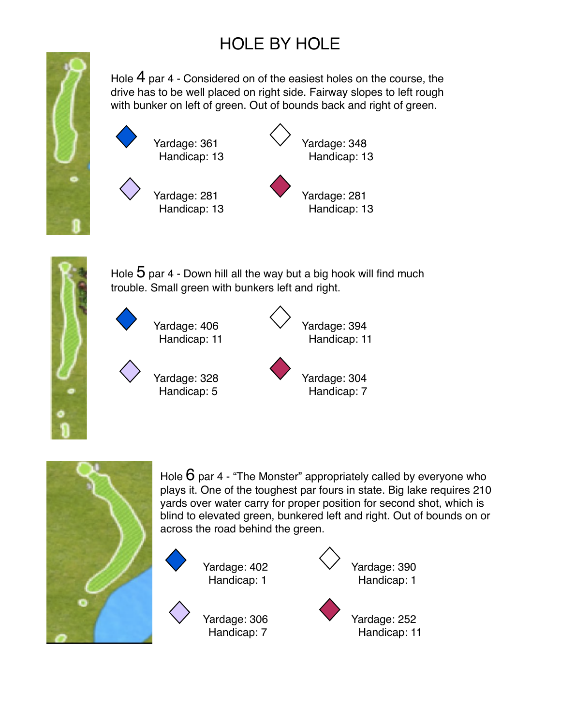

Hole 4 par 4 - Considered on of the easiest holes on the course, the drive has to be well placed on right side. Fairway slopes to left rough with bunker on left of green. Out of bounds back and right of green.





Hole  $5$  par 4 - Down hill all the way but a big hook will find much trouble. Small green with bunkers left and right.





Hole  $6$  par 4 - "The Monster" appropriately called by everyone who plays it. One of the toughest par fours in state. Big lake requires 210 yards over water carry for proper position for second shot, which is blind to elevated green, bunkered left and right. Out of bounds on or across the road behind the green.

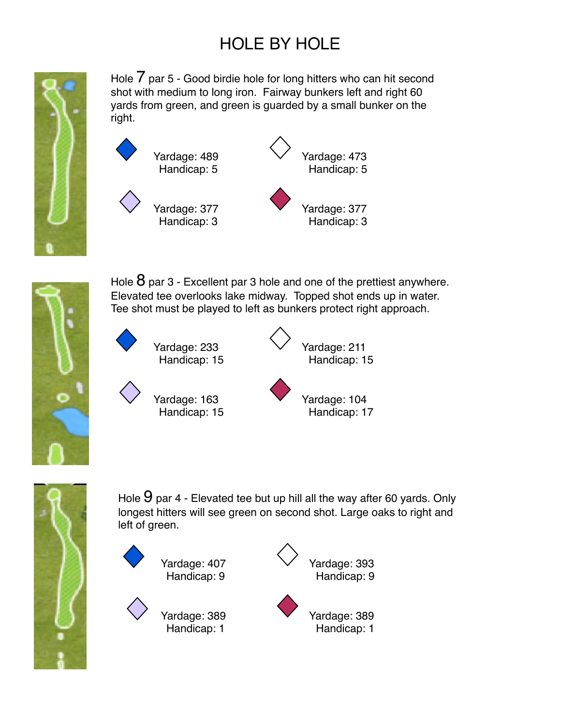

Hole  $\overline{7}$  par 5 - Good birdie hole for long hitters who can hit second shot with medium to long iron. Fairway bunkers left and right 60 yards from green, and green is guarded by a small bunker on the right.





Hole  $8$  par 3 - Excellent par 3 hole and one of the prettiest anywhere. Elevated tee overlooks lake midway. Topped shot ends up in water. Tee shot must be played to left as bunkers protect right approach.





Yardage: 163 Yardage: 104

Handicap: 15 Handicap: 17



Hole  $9$  par 4 - Elevated tee but up hill all the way after 60 yards. Only longest hitters will see green on second shot. Large oaks to right and left of green.





Handicap: 1 Handicap: 1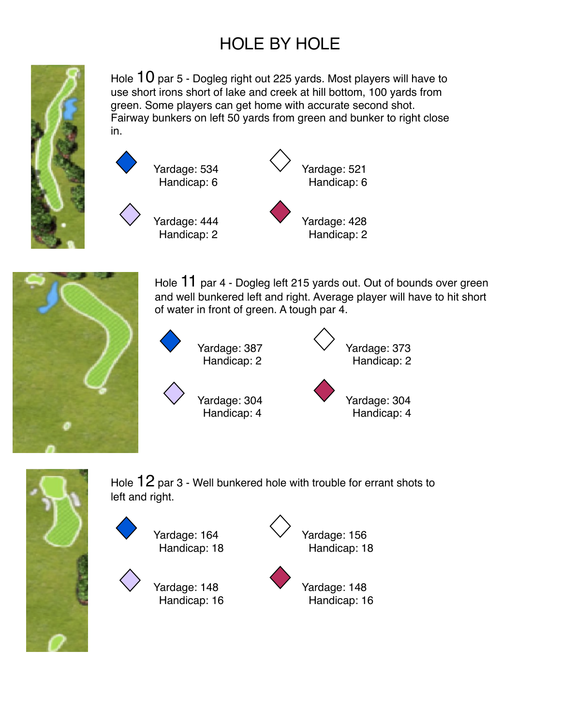

Hole  $10$  par 5 - Dogleg right out 225 yards. Most players will have to use short irons short of lake and creek at hill bottom, 100 yards from green. Some players can get home with accurate second shot. Fairway bunkers on left 50 yards from green and bunker to right close in.





Hole 11 par 4 - Dogleg left 215 yards out. Out of bounds over green and well bunkered left and right. Average player will have to hit short of water in front of green. A tough par 4.





Hole  $12$  par 3 - Well bunkered hole with trouble for errant shots to left and right.

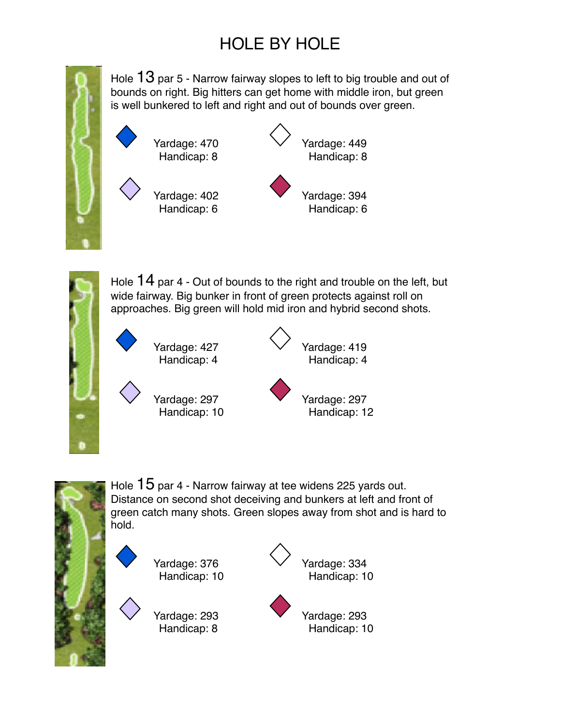

Hole  $13$  par 5 - Narrow fairway slopes to left to big trouble and out of bounds on right. Big hitters can get home with middle iron, but green is well bunkered to left and right and out of bounds over green.





Hole  $14$  par 4 - Out of bounds to the right and trouble on the left, but wide fairway. Big bunker in front of green protects against roll on approaches. Big green will hold mid iron and hybrid second shots.

Yardage: 427 Vardage: 419 Handicap: 4 Handicap: 4

Yardage: 297 Yardage: 297 Handicap: 10 Handicap: 12



Hole  $15$  par 4 - Narrow fairway at tee widens 225 yards out. Distance on second shot deceiving and bunkers at left and front of green catch many shots. Green slopes away from shot and is hard to hold.



Yardage: 293 Yardage: 293

Handicap: 8 Handicap: 10